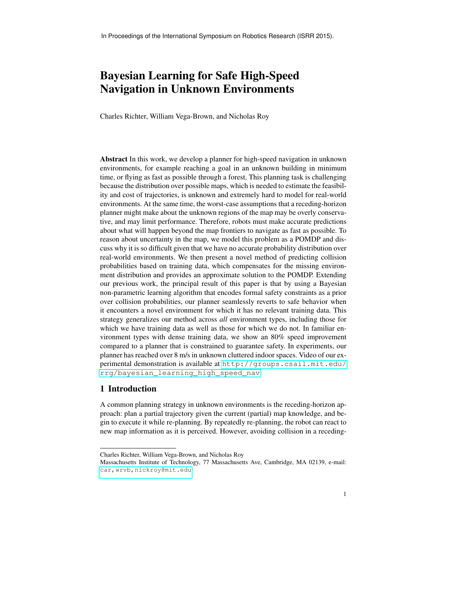# Bayesian Learning for Safe High-Speed Navigation in Unknown Environments

Charles Richter, William Vega-Brown, and Nicholas Roy

Abstract In this work, we develop a planner for high-speed navigation in unknown environments, for example reaching a goal in an unknown building in minimum time, or flying as fast as possible through a forest. This planning task is challenging because the distribution over possible maps, which is needed to estimate the feasibility and cost of trajectories, is unknown and extremely hard to model for real-world environments. At the same time, the worst-case assumptions that a receding-horizon planner might make about the unknown regions of the map may be overly conservative, and may limit performance. Therefore, robots must make accurate predictions about what will happen beyond the map frontiers to navigate as fast as possible. To reason about uncertainty in the map, we model this problem as a POMDP and discuss why it is so difficult given that we have no accurate probability distribution over real-world environments. We then present a novel method of predicting collision probabilities based on training data, which compensates for the missing environment distribution and provides an approximate solution to the POMDP. Extending our previous work, the principal result of this paper is that by using a Bayesian non-parametric learning algorithm that encodes formal safety constraints as a prior over collision probabilities, our planner seamlessly reverts to safe behavior when it encounters a novel environment for which it has no relevant training data. This strategy generalizes our method across *all* environment types, including those for which we have training data as well as those for which we do not. In familiar environment types with dense training data, we show an 80% speed improvement compared to a planner that is constrained to guarantee safety. In experiments, our planner has reached over 8 m/s in unknown cluttered indoor spaces. Video of our experimental demonstration is available at [http://groups.csail.mit.edu/](http://groups.csail.mit.edu/rrg/bayesian_learning_high_speed_nav) [rrg/bayesian\\_learning\\_high\\_speed\\_nav](http://groups.csail.mit.edu/rrg/bayesian_learning_high_speed_nav).

## <span id="page-0-0"></span>1 Introduction

A common planning strategy in unknown environments is the receding-horizon approach: plan a partial trajectory given the current (partial) map knowledge, and begin to execute it while re-planning. By repeatedly re-planning, the robot can react to new map information as it is perceived. However, avoiding collision in a receding-

Charles Richter, William Vega-Brown, and Nicholas Roy

Massachusetts Institute of Technology, 77 Massachusetts Ave, Cambridge, MA 02139, e-mail: car, wrvb, nickroy@mit.edu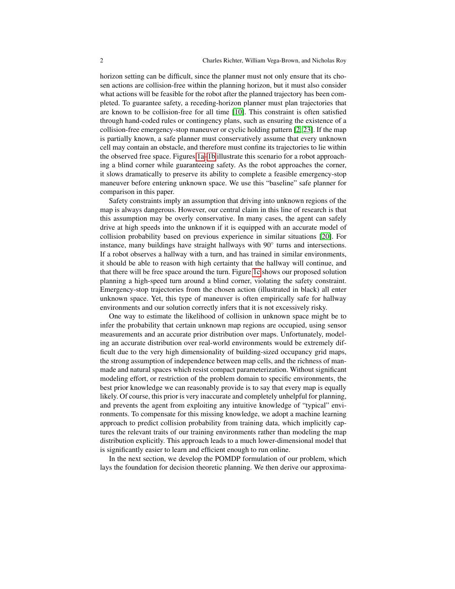horizon setting can be difficult, since the planner must not only ensure that its chosen actions are collision-free within the planning horizon, but it must also consider what actions will be feasible for the robot after the planned trajectory has been completed. To guarantee safety, a receding-horizon planner must plan trajectories that are known to be collision-free for all time [\[10\]](#page-15-0). This constraint is often satisfied through hand-coded rules or contingency plans, such as ensuring the existence of a collision-free emergency-stop maneuver or cyclic holding pattern [\[2,](#page-15-1) [23\]](#page-15-2). If the map is partially known, a safe planner must conservatively assume that every unknown cell may contain an obstacle, and therefore must confine its trajectories to lie within the observed free space. Figures [1a–](#page-2-0)[1b](#page-2-1) illustrate this scenario for a robot approaching a blind corner while guaranteeing safety. As the robot approaches the corner, it slows dramatically to preserve its ability to complete a feasible emergency-stop maneuver before entering unknown space. We use this "baseline" safe planner for comparison in this paper.

Safety constraints imply an assumption that driving into unknown regions of the map is always dangerous. However, our central claim in this line of research is that this assumption may be overly conservative. In many cases, the agent can safely drive at high speeds into the unknown if it is equipped with an accurate model of collision probability based on previous experience in similar situations [\[20\]](#page-15-3). For instance, many buildings have straight hallways with 90° turns and intersections. If a robot observes a hallway with a turn, and has trained in similar environments, it should be able to reason with high certainty that the hallway will continue, and that there will be free space around the turn. Figure [1c](#page-2-2) shows our proposed solution planning a high-speed turn around a blind corner, violating the safety constraint. Emergency-stop trajectories from the chosen action (illustrated in black) all enter unknown space. Yet, this type of maneuver is often empirically safe for hallway environments and our solution correctly infers that it is not excessively risky.

One way to estimate the likelihood of collision in unknown space might be to infer the probability that certain unknown map regions are occupied, using sensor measurements and an accurate prior distribution over maps. Unfortunately, modeling an accurate distribution over real-world environments would be extremely difficult due to the very high dimensionality of building-sized occupancy grid maps, the strong assumption of independence between map cells, and the richness of manmade and natural spaces which resist compact parameterization. Without significant modeling effort, or restriction of the problem domain to specific environments, the best prior knowledge we can reasonably provide is to say that every map is equally likely. Of course, this prior is very inaccurate and completely unhelpful for planning, and prevents the agent from exploiting any intuitive knowledge of "typical" environments. To compensate for this missing knowledge, we adopt a machine learning approach to predict collision probability from training data, which implicitly captures the relevant traits of our training environments rather than modeling the map distribution explicitly. This approach leads to a much lower-dimensional model that is significantly easier to learn and efficient enough to run online.

In the next section, we develop the POMDP formulation of our problem, which lays the foundation for decision theoretic planning. We then derive our approxima-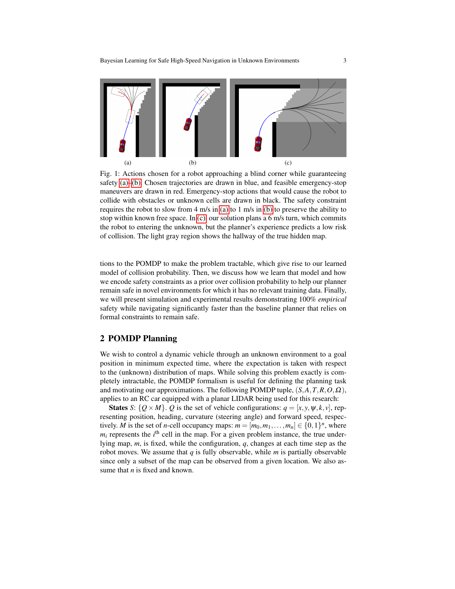<span id="page-2-0"></span>

<span id="page-2-2"></span><span id="page-2-1"></span>Fig. 1: Actions chosen for a robot approaching a blind corner while guaranteeing safety [\(a\)–](#page-2-0)[\(b\).](#page-2-1) Chosen trajectories are drawn in blue, and feasible emergency-stop maneuvers are drawn in red. Emergency-stop actions that would cause the robot to collide with obstacles or unknown cells are drawn in black. The safety constraint requires the robot to slow from 4 m/s in [\(a\)](#page-2-0) to 1 m/s in [\(b\)](#page-2-1) to preserve the ability to stop within known free space. In  $(c)$ , our solution plans a 6 m/s turn, which commits the robot to entering the unknown, but the planner's experience predicts a low risk of collision. The light gray region shows the hallway of the true hidden map.

tions to the POMDP to make the problem tractable, which give rise to our learned model of collision probability. Then, we discuss how we learn that model and how we encode safety constraints as a prior over collision probability to help our planner remain safe in novel environments for which it has no relevant training data. Finally, we will present simulation and experimental results demonstrating 100% *empirical* safety while navigating significantly faster than the baseline planner that relies on formal constraints to remain safe.

## 2 POMDP Planning

We wish to control a dynamic vehicle through an unknown environment to a goal position in minimum expected time, where the expectation is taken with respect to the (unknown) distribution of maps. While solving this problem exactly is completely intractable, the POMDP formalism is useful for defining the planning task and motivating our approximations. The following POMDP tuple, (*S*,*A*,*T*,*R*,*O*,Ω), applies to an RC car equipped with a planar LIDAR being used for this research:

**States** *S*:  $\{Q \times M\}$ . *Q* is the set of vehicle configurations:  $q = [x, y, \psi, k, v]$ , representing position, heading, curvature (steering angle) and forward speed, respectively. *M* is the set of *n*-cell occupancy maps:  $m = [m_0, m_1, \dots, m_n] \in \{0, 1\}^n$ , where  $m_i$  represents the  $i^{\text{th}}$  cell in the map. For a given problem instance, the true underlying map, *m*, is fixed, while the configuration, *q*, changes at each time step as the robot moves. We assume that *q* is fully observable, while *m* is partially observable since only a subset of the map can be observed from a given location. We also assume that *n* is fixed and known.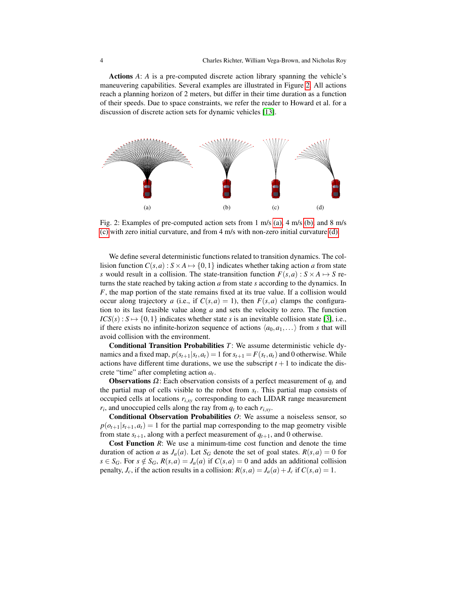Actions *A*: *A* is a pre-computed discrete action library spanning the vehicle's maneuvering capabilities. Several examples are illustrated in Figure [2.](#page-3-0) All actions reach a planning horizon of 2 meters, but differ in their time duration as a function of their speeds. Due to space constraints, we refer the reader to Howard et al. for a discussion of discrete action sets for dynamic vehicles [\[13\]](#page-15-4).

<span id="page-3-1"></span><span id="page-3-0"></span>

<span id="page-3-4"></span><span id="page-3-3"></span><span id="page-3-2"></span>Fig. 2: Examples of pre-computed action sets from 1 m/s [\(a\),](#page-3-1) 4 m/s [\(b\),](#page-3-2) and 8 m/s [\(c\)](#page-3-3) with zero initial curvature, and from 4 m/s with non-zero initial curvature [\(d\).](#page-3-4)

We define several deterministic functions related to transition dynamics. The collision function  $C(s, a)$ :  $S \times A \mapsto \{0, 1\}$  indicates whether taking action *a* from state *s* would result in a collision. The state-transition function  $F(s, a) : S \times A \mapsto S$  returns the state reached by taking action *a* from state *s* according to the dynamics. In *F*, the map portion of the state remains fixed at its true value. If a collision would occur along trajectory *a* (i.e., if  $C(s, a) = 1$ ), then  $F(s, a)$  clamps the configuration to its last feasible value along *a* and sets the velocity to zero. The function  $ICS(s): S \mapsto \{0,1\}$  indicates whether state *s* is an inevitable collision state [\[3\]](#page-15-5), i.e., if there exists no infinite-horizon sequence of actions  $\langle a_0, a_1, \ldots \rangle$  from *s* that will avoid collision with the environment.

Conditional Transition Probabilities *T*: We assume deterministic vehicle dynamics and a fixed map,  $p(s_{t+1}|s_t, a_t) = 1$  for  $s_{t+1} = F(s_t, a_t)$  and 0 otherwise. While actions have different time durations, we use the subscript  $t + 1$  to indicate the discrete "time" after completing action *a<sup>t</sup>* .

**Observations**  $\Omega$ : Each observation consists of a perfect measurement of  $q_t$  and the partial map of cells visible to the robot from  $s_t$ . This partial map consists of occupied cells at locations  $r_{i,xy}$  corresponding to each LIDAR range measurement  $r_i$ , and unoccupied cells along the ray from  $q_t$  to each  $r_{i,xy}$ .

Conditional Observation Probabilities *O*: We assume a noiseless sensor, so  $p(o_{t+1}|s_{t+1}, a_t) = 1$  for the partial map corresponding to the map geometry visible from state  $s_{t+1}$ , along with a perfect measurement of  $q_{t+1}$ , and 0 otherwise.

Cost Function *R*: We use a minimum-time cost function and denote the time duration of action *a* as  $J_a(a)$ . Let  $S_G$  denote the set of goal states.  $R(s, a) = 0$  for  $s \in S_G$ . For  $s \notin S_G$ ,  $R(s, a) = J_a(a)$  if  $C(s, a) = 0$  and adds an additional collision penalty,  $J_c$ , if the action results in a collision:  $R(s, a) = J_a(a) + J_c$  if  $C(s, a) = 1$ .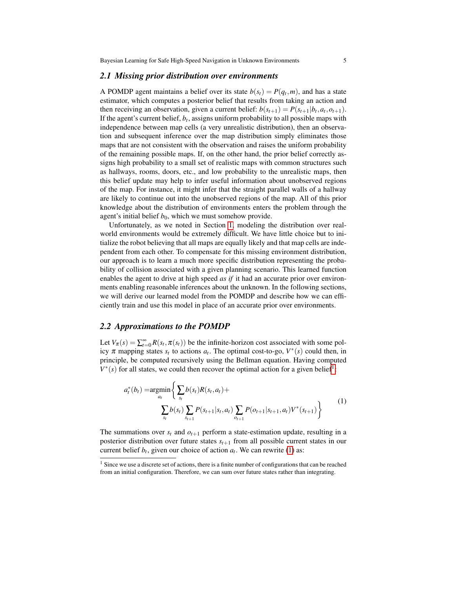#### <span id="page-4-2"></span>*2.1 Missing prior distribution over environments*

A POMDP agent maintains a belief over its state  $b(s_t) = P(q_t, m)$ , and has a state estimator, which computes a posterior belief that results from taking an action and then receiving an observation, given a current belief:  $b(s_{t+1}) = P(s_{t+1}|b_t, a_t, o_{t+1})$ . If the agent's current belief, *b<sup>t</sup>* , assigns uniform probability to all possible maps with independence between map cells (a very unrealistic distribution), then an observation and subsequent inference over the map distribution simply eliminates those maps that are not consistent with the observation and raises the uniform probability of the remaining possible maps. If, on the other hand, the prior belief correctly assigns high probability to a small set of realistic maps with common structures such as hallways, rooms, doors, etc., and low probability to the unrealistic maps, then this belief update may help to infer useful information about unobserved regions of the map. For instance, it might infer that the straight parallel walls of a hallway are likely to continue out into the unobserved regions of the map. All of this prior knowledge about the distribution of environments enters the problem through the agent's initial belief  $b_0$ , which we must somehow provide.

Unfortunately, as we noted in Section [1,](#page-0-0) modeling the distribution over realworld environments would be extremely difficult. We have little choice but to initialize the robot believing that all maps are equally likely and that map cells are independent from each other. To compensate for this missing environment distribution, our approach is to learn a much more specific distribution representing the probability of collision associated with a given planning scenario. This learned function enables the agent to drive at high speed *as if* it had an accurate prior over environments enabling reasonable inferences about the unknown. In the following sections, we will derive our learned model from the POMDP and describe how we can efficiently train and use this model in place of an accurate prior over environments.

## *2.2 Approximations to the POMDP*

Let  $V_{\pi}(s) = \sum_{t=0}^{\infty} R(s_t, \pi(s_t))$  be the infinite-horizon cost associated with some policy  $\pi$  mapping states  $s_t$  to actions  $a_t$ . The optimal cost-to-go,  $V^*(s)$  could then, in principle, be computed recursively using the Bellman equation. Having computed  $V^*(s)$  for all states, we could then recover the optimal action for a given belief<sup>[1](#page-4-0)</sup>:

<span id="page-4-1"></span>
$$
a_t^*(b_t) = \underset{a_t}{\operatorname{argmin}} \bigg\{ \sum_{s_t} b(s_t) R(s_t, a_t) + \sum_{s_{t+1}} b(s_t) \sum_{s_{t+1}} P(s_{t+1} | s_t, a_t) \sum_{o_{t+1}} P(o_{t+1} | s_{t+1}, a_t) V^*(s_{t+1}) \bigg\} \tag{1}
$$

The summations over  $s_t$  and  $o_{t+1}$  perform a state-estimation update, resulting in a posterior distribution over future states  $s_{t+1}$  from all possible current states in our current belief  $b_t$ , given our choice of action  $a_t$ . We can rewrite [\(1\)](#page-4-1) as:

<span id="page-4-0"></span> $<sup>1</sup>$  Since we use a discrete set of actions, there is a finite number of configurations that can be reached</sup> from an initial configuration. Therefore, we can sum over future states rather than integrating.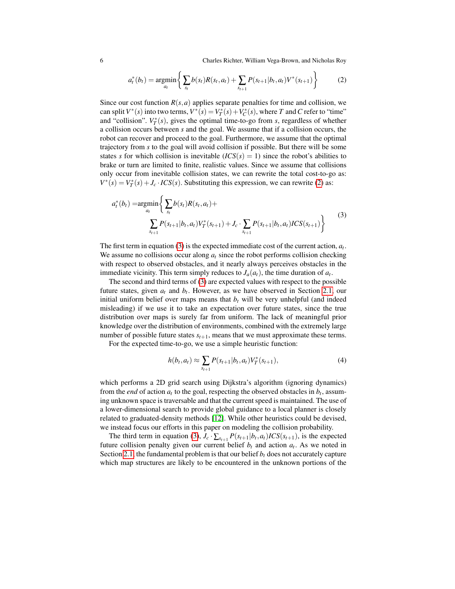6 Charles Richter, William Vega-Brown, and Nicholas Roy

<span id="page-5-0"></span>
$$
a_t^*(b_t) = \underset{a_t}{\text{argmin}} \left\{ \sum_{s_t} b(s_t) R(s_t, a_t) + \sum_{s_{t+1}} P(s_{t+1} | b_t, a_t) V^*(s_{t+1}) \right\}
$$
(2)

Since our cost function  $R(s, a)$  applies separate penalties for time and collision, we can split  $V^*(s)$  into two terms,  $V^*(s) = V^*_T(s) + V^*_C(s)$ , where *T* and *C* refer to "time" and "collision".  $V_T^*(s)$ , gives the optimal time-to-go from *s*, regardless of whether a collision occurs between *s* and the goal. We assume that if a collision occurs, the robot can recover and proceed to the goal. Furthermore, we assume that the optimal trajectory from *s* to the goal will avoid collision if possible. But there will be some states *s* for which collision is inevitable  $(ICS(s) = 1)$  since the robot's abilities to brake or turn are limited to finite, realistic values. Since we assume that collisions only occur from inevitable collision states, we can rewrite the total cost-to-go as:  $V^*(s) = V^*_T(s) + J_c \cdot ICS(s)$ . Substituting this expression, we can rewrite [\(2\)](#page-5-0) as:

<span id="page-5-1"></span>
$$
a_t^*(b_t) = \underset{a_t}{\text{argmin}} \left\{ \sum_{s_t} b(s_t) R(s_t, a_t) + \sum_{s_{t+1}} P(s_{t+1} | b_t, a_t) V_T^*(s_{t+1}) + J_c \cdot \sum_{s_{t+1}} P(s_{t+1} | b_t, a_t) ICS(s_{t+1}) \right\} \tag{3}
$$

The first term in equation [\(3\)](#page-5-1) is the expected immediate cost of the current action, *a<sup>t</sup>* . We assume no collisions occur along  $a_t$  since the robot performs collision checking with respect to observed obstacles, and it nearly always perceives obstacles in the immediate vicinity. This term simply reduces to  $J_a(a_t)$ , the time duration of  $a_t$ .

The second and third terms of [\(3\)](#page-5-1) are expected values with respect to the possible future states, given  $a_t$  and  $b_t$ . However, as we have observed in Section [2.1,](#page-4-2) our initial uniform belief over maps means that  $b<sub>t</sub>$  will be very unhelpful (and indeed misleading) if we use it to take an expectation over future states, since the true distribution over maps is surely far from uniform. The lack of meaningful prior knowledge over the distribution of environments, combined with the extremely large number of possible future states  $s_{t+1}$ , means that we must approximate these terms.

For the expected time-to-go, we use a simple heuristic function:

$$
h(b_t, a_t) \approx \sum_{s_{t+1}} P(s_{t+1} | b_t, a_t) V_T^*(s_{t+1}),
$$
\n(4)

which performs a 2D grid search using Dijkstra's algorithm (ignoring dynamics) from the *end* of action  $a_t$  to the goal, respecting the observed obstacles in  $b_t$ , assuming unknown space is traversable and that the current speed is maintained. The use of a lower-dimensional search to provide global guidance to a local planner is closely related to graduated-density methods [\[12\]](#page-15-6). While other heuristics could be devised, we instead focus our efforts in this paper on modeling the collision probability.

The third term in equation [\(3\)](#page-5-1),  $J_c \cdot \sum_{s_{t+1}} P(s_{t+1} | b_t, a_t) ICS(s_{t+1})$ , is the expected future collision penalty given our current belief  $b_t$  and action  $a_t$ . As we noted in Section [2.1,](#page-4-2) the fundamental problem is that our belief  $b_t$  does not accurately capture which map structures are likely to be encountered in the unknown portions of the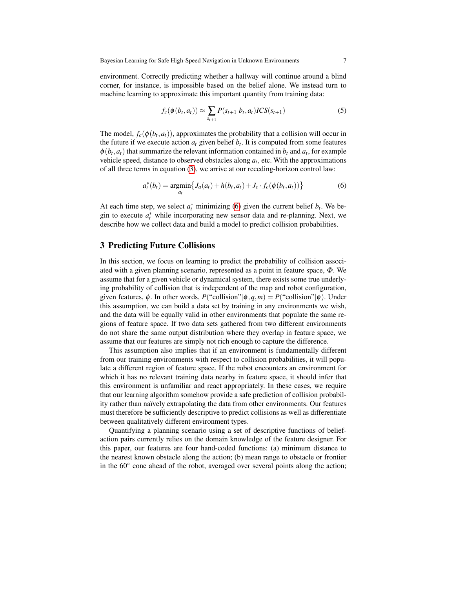environment. Correctly predicting whether a hallway will continue around a blind corner, for instance, is impossible based on the belief alone. We instead turn to machine learning to approximate this important quantity from training data:

<span id="page-6-1"></span>
$$
f_c(\phi(b_t, a_t)) \approx \sum_{s_{t+1}} P(s_{t+1}|b_t, a_t) ICS(s_{t+1})
$$
 (5)

The model,  $f_c(\phi(b_t, a_t))$ , approximates the probability that a collision will occur in the future if we execute action  $a_t$  given belief  $b_t$ . It is computed from some features  $\phi(b_t, a_t)$  that summarize the relevant information contained in  $b_t$  and  $a_t$ , for example vehicle speed, distance to observed obstacles along  $a_t$ , etc. With the approximations of all three terms in equation [\(3\)](#page-5-1), we arrive at our receding-horizon control law:

<span id="page-6-0"></span>
$$
a_t^*(b_t) = \underset{a_t}{\text{argmin}} \{ J_a(a_t) + h(b_t, a_t) + J_c \cdot f_c(\phi(b_t, a_t)) \}
$$
(6)

At each time step, we select  $a_t^*$  minimizing [\(6\)](#page-6-0) given the current belief  $b_t$ . We begin to execute  $a_t^*$  while incorporating new sensor data and re-planning. Next, we describe how we collect data and build a model to predict collision probabilities.

## <span id="page-6-2"></span>3 Predicting Future Collisions

In this section, we focus on learning to predict the probability of collision associated with a given planning scenario, represented as a point in feature space,  $\Phi$ . We assume that for a given vehicle or dynamical system, there exists some true underlying probability of collision that is independent of the map and robot configuration, given features,  $\phi$ . In other words,  $P("collision" | \phi, q, m) = P("collision" | \phi)$ . Under this assumption, we can build a data set by training in any environments we wish, and the data will be equally valid in other environments that populate the same regions of feature space. If two data sets gathered from two different environments do not share the same output distribution where they overlap in feature space, we assume that our features are simply not rich enough to capture the difference.

This assumption also implies that if an environment is fundamentally different from our training environments with respect to collision probabilities, it will populate a different region of feature space. If the robot encounters an environment for which it has no relevant training data nearby in feature space, it should infer that this environment is unfamiliar and react appropriately. In these cases, we require that our learning algorithm somehow provide a safe prediction of collision probability rather than naïvely extrapolating the data from other environments. Our features must therefore be sufficiently descriptive to predict collisions as well as differentiate between qualitatively different environment types.

Quantifying a planning scenario using a set of descriptive functions of beliefaction pairs currently relies on the domain knowledge of the feature designer. For this paper, our features are four hand-coded functions: (a) minimum distance to the nearest known obstacle along the action; (b) mean range to obstacle or frontier in the 60° cone ahead of the robot, averaged over several points along the action;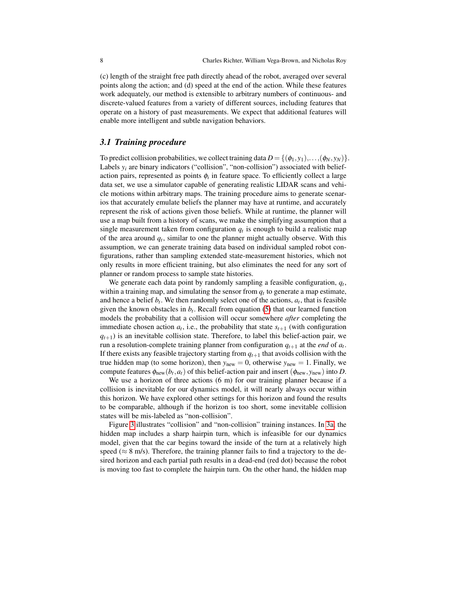(c) length of the straight free path directly ahead of the robot, averaged over several points along the action; and (d) speed at the end of the action. While these features work adequately, our method is extensible to arbitrary numbers of continuous- and discrete-valued features from a variety of different sources, including features that operate on a history of past measurements. We expect that additional features will enable more intelligent and subtle navigation behaviors.

## *3.1 Training procedure*

To predict collision probabilities, we collect training data  $D = \{(\phi_1, y_1), \ldots, (\phi_N, y_N)\}\.$ Labels  $y_i$  are binary indicators ("collision", "non-collision") associated with beliefaction pairs, represented as points φ*<sup>i</sup>* in feature space. To efficiently collect a large data set, we use a simulator capable of generating realistic LIDAR scans and vehicle motions within arbitrary maps. The training procedure aims to generate scenarios that accurately emulate beliefs the planner may have at runtime, and accurately represent the risk of actions given those beliefs. While at runtime, the planner will use a map built from a history of scans, we make the simplifying assumption that a single measurement taken from configuration  $q_t$  is enough to build a realistic map of the area around  $q_t$ , similar to one the planner might actually observe. With this assumption, we can generate training data based on individual sampled robot configurations, rather than sampling extended state-measurement histories, which not only results in more efficient training, but also eliminates the need for any sort of planner or random process to sample state histories.

We generate each data point by randomly sampling a feasible configuration, *q<sup>t</sup>* , within a training map, and simulating the sensor from  $q_t$  to generate a map estimate, and hence a belief  $b_t$ . We then randomly select one of the actions,  $a_t$ , that is feasible given the known obstacles in *b<sup>t</sup>* . Recall from equation [\(5\)](#page-6-1) that our learned function models the probability that a collision will occur somewhere *after* completing the immediate chosen action  $a_t$ , i.e., the probability that state  $s_{t+1}$  (with configuration  $q_{t+1}$ ) is an inevitable collision state. Therefore, to label this belief-action pair, we run a resolution-complete training planner from configuration *qt*+<sup>1</sup> at the *end* of *a<sup>t</sup>* . If there exists any feasible trajectory starting from  $q_{t+1}$  that avoids collision with the true hidden map (to some horizon), then  $y_{new} = 0$ , otherwise  $y_{new} = 1$ . Finally, we compute features  $\phi_{\text{new}}(b_t, a_t)$  of this belief-action pair and insert  $(\phi_{\text{new}}, y_{\text{new}})$  into *D*.

We use a horizon of three actions (6 m) for our training planner because if a collision is inevitable for our dynamics model, it will nearly always occur within this horizon. We have explored other settings for this horizon and found the results to be comparable, although if the horizon is too short, some inevitable collision states will be mis-labeled as "non-collision".

Figure [3](#page-8-0) illustrates "collision" and "non-collision" training instances. In [3a,](#page-8-1) the hidden map includes a sharp hairpin turn, which is infeasible for our dynamics model, given that the car begins toward the inside of the turn at a relatively high speed ( $\approx$  8 m/s). Therefore, the training planner fails to find a trajectory to the desired horizon and each partial path results in a dead-end (red dot) because the robot is moving too fast to complete the hairpin turn. On the other hand, the hidden map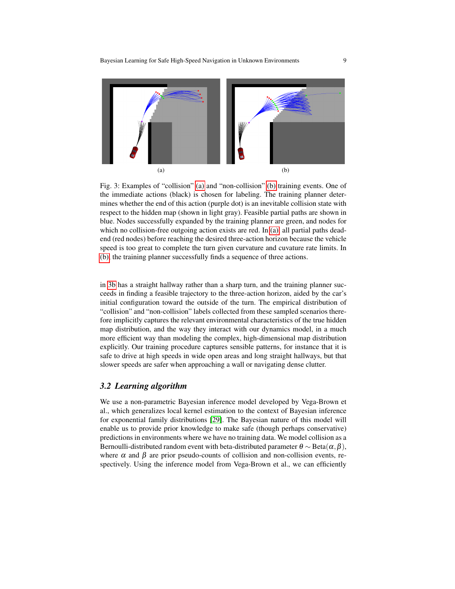<span id="page-8-1"></span><span id="page-8-0"></span>

<span id="page-8-2"></span>Fig. 3: Examples of "collision" [\(a\)](#page-8-1) and "non-collision" [\(b\)](#page-8-2) training events. One of the immediate actions (black) is chosen for labeling. The training planner determines whether the end of this action (purple dot) is an inevitable collision state with respect to the hidden map (shown in light gray). Feasible partial paths are shown in blue. Nodes successfully expanded by the training planner are green, and nodes for which no collision-free outgoing action exists are red. In [\(a\),](#page-8-1) all partial paths deadend (red nodes) before reaching the desired three-action horizon because the vehicle speed is too great to complete the turn given curvature and cuvature rate limits. In [\(b\),](#page-8-2) the training planner successfully finds a sequence of three actions.

in [3b](#page-8-2) has a straight hallway rather than a sharp turn, and the training planner succeeds in finding a feasible trajectory to the three-action horizon, aided by the car's initial configuration toward the outside of the turn. The empirical distribution of "collision" and "non-collision" labels collected from these sampled scenarios therefore implicitly captures the relevant environmental characteristics of the true hidden map distribution, and the way they interact with our dynamics model, in a much more efficient way than modeling the complex, high-dimensional map distribution explicitly. Our training procedure captures sensible patterns, for instance that it is safe to drive at high speeds in wide open areas and long straight hallways, but that slower speeds are safer when approaching a wall or navigating dense clutter.

## *3.2 Learning algorithm*

We use a non-parametric Bayesian inference model developed by Vega-Brown et al., which generalizes local kernel estimation to the context of Bayesian inference for exponential family distributions [\[29\]](#page-15-7). The Bayesian nature of this model will enable us to provide prior knowledge to make safe (though perhaps conservative) predictions in environments where we have no training data. We model collision as a Bernoulli-distributed random event with beta-distributed parameter  $\theta \sim \text{Beta}(\alpha, \beta)$ , where  $\alpha$  and  $\beta$  are prior pseudo-counts of collision and non-collision events, respectively. Using the inference model from Vega-Brown et al., we can efficiently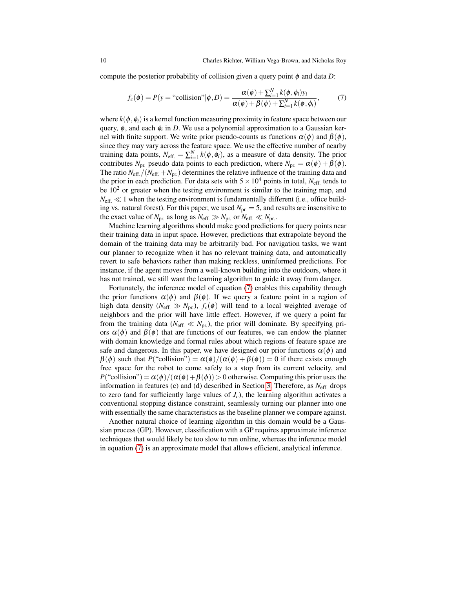compute the posterior probability of collision given a query point  $\phi$  and data *D*:

<span id="page-9-0"></span>
$$
f_c(\phi) = P(y = \text{``collision''}|\phi, D) = \frac{\alpha(\phi) + \sum_{i=1}^N k(\phi, \phi_i) y_i}{\alpha(\phi) + \beta(\phi) + \sum_{i=1}^N k(\phi, \phi_i)},
$$
(7)

where  $k(\phi, \phi_i)$  is a kernel function measuring proximity in feature space between our query, φ, and each φ*<sup>i</sup>* in *D*. We use a polynomial approximation to a Gaussian kernel with finite support. We write prior pseudo-counts as functions  $\alpha(\phi)$  and  $\beta(\phi)$ , since they may vary across the feature space. We use the effective number of nearby training data points,  $N_{\text{eff.}} = \sum_{i=1}^{N} k(\phi, \phi_i)$ , as a measure of data density. The prior contributes *N*<sub>pr.</sub> pseudo data points to each prediction, where  $N_{pr} = \alpha(\phi) + \beta(\phi)$ . The ratio  $N_{\text{eff.}}/(N_{\text{eff.}}+N_{\text{pr.}})$  determines the relative influence of the training data and the prior in each prediction. For data sets with  $5 \times 10^4$  points in total, *N*<sub>eff.</sub> tends to be  $10<sup>2</sup>$  or greater when the testing environment is similar to the training map, and  $N_{\text{eff.}} \ll 1$  when the testing environment is fundamentally different (i.e., office building vs. natural forest). For this paper, we used  $N_{\text{pr.}} = 5$ , and results are insensitive to the exact value of  $N_{\text{pr.}}$  as long as  $N_{\text{eff.}} \gg N_{\text{pr.}}$  or  $N_{\text{eff.}} \ll N_{\text{pr.}}$ .

Machine learning algorithms should make good predictions for query points near their training data in input space. However, predictions that extrapolate beyond the domain of the training data may be arbitrarily bad. For navigation tasks, we want our planner to recognize when it has no relevant training data, and automatically revert to safe behaviors rather than making reckless, uninformed predictions. For instance, if the agent moves from a well-known building into the outdoors, where it has not trained, we still want the learning algorithm to guide it away from danger.

Fortunately, the inference model of equation [\(7\)](#page-9-0) enables this capability through the prior functions  $\alpha(\phi)$  and  $\beta(\phi)$ . If we query a feature point in a region of high data density ( $N_{\text{eff.}} \gg N_{\text{pr.}}$ ),  $f_c(\phi)$  will tend to a local weighted average of neighbors and the prior will have little effect. However, if we query a point far from the training data ( $N_{\text{eff}} \ll N_{\text{pr}}$ ), the prior will dominate. By specifying priors  $\alpha(\phi)$  and  $\beta(\phi)$  that are functions of our features, we can endow the planner with domain knowledge and formal rules about which regions of feature space are safe and dangerous. In this paper, we have designed our prior functions  $\alpha(\phi)$  and  $\beta(\phi)$  such that  $P("collision") = \alpha(\phi)/(\alpha(\phi) + \beta(\phi)) = 0$  if there exists enough free space for the robot to come safely to a stop from its current velocity, and  $P("collision") = \alpha(\phi)/(\alpha(\phi) + \beta(\phi)) > 0$  otherwise. Computing this prior uses the information in features (c) and (d) described in Section [3.](#page-6-2) Therefore, as *N*eff. drops to zero (and for sufficiently large values of  $J_c$ ), the learning algorithm activates a conventional stopping distance constraint, seamlessly turning our planner into one with essentially the same characteristics as the baseline planner we compare against.

Another natural choice of learning algorithm in this domain would be a Gaussian process (GP). However, classification with a GP requires approximate inference techniques that would likely be too slow to run online, whereas the inference model in equation [\(7\)](#page-9-0) is an approximate model that allows efficient, analytical inference.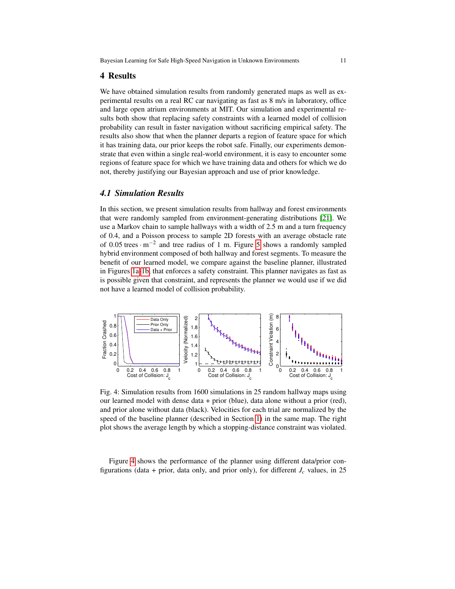## 4 Results

We have obtained simulation results from randomly generated maps as well as experimental results on a real RC car navigating as fast as 8 m/s in laboratory, office and large open atrium environments at MIT. Our simulation and experimental results both show that replacing safety constraints with a learned model of collision probability can result in faster navigation without sacrificing empirical safety. The results also show that when the planner departs a region of feature space for which it has training data, our prior keeps the robot safe. Finally, our experiments demonstrate that even within a single real-world environment, it is easy to encounter some regions of feature space for which we have training data and others for which we do not, thereby justifying our Bayesian approach and use of prior knowledge.

## *4.1 Simulation Results*

In this section, we present simulation results from hallway and forest environments that were randomly sampled from environment-generating distributions [\[21\]](#page-15-8). We use a Markov chain to sample hallways with a width of 2.5 m and a turn frequency of 0.4, and a Poisson process to sample 2D forests with an average obstacle rate of 0.05 trees  $\cdot$  m<sup>-2</sup> and tree radius of 1 m. Figure [5](#page-11-0) shows a randomly sampled hybrid environment composed of both hallway and forest segments. To measure the benefit of our learned model, we compare against the baseline planner, illustrated in Figures [1a](#page-2-0)[-1b,](#page-2-1) that enforces a safety constraint. This planner navigates as fast as is possible given that constraint, and represents the planner we would use if we did not have a learned model of collision probability.

<span id="page-10-0"></span>

Fig. 4: Simulation results from 1600 simulations in 25 random hallway maps using our learned model with dense data + prior (blue), data alone without a prior (red), and prior alone without data (black). Velocities for each trial are normalized by the speed of the baseline planner (described in Section [1\)](#page-0-0) in the same map. The right plot shows the average length by which a stopping-distance constraint was violated.

Figure [4](#page-10-0) shows the performance of the planner using different data/prior configurations (data + prior, data only, and prior only), for different  $J_c$  values, in 25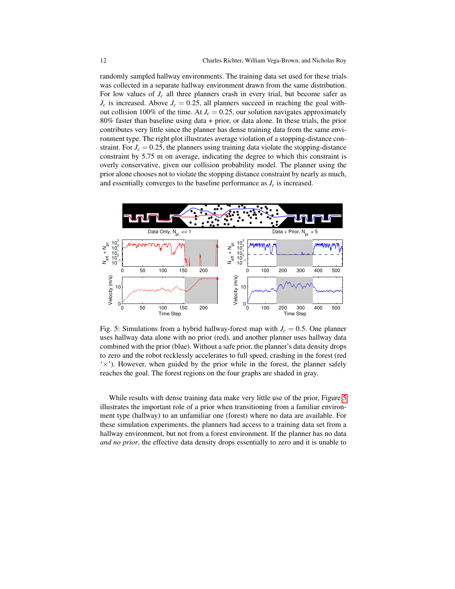randomly sampled hallway environments. The training data set used for these trials was collected in a separate hallway environment drawn from the same distribution. For low values of  $J_c$  all three planners crash in every trial, but become safer as  $J_c$  is increased. Above  $J_c = 0.25$ , all planners succeed in reaching the goal without collision 100% of the time. At  $J_c = 0.25$ , our solution navigates approximately 80% faster than baseline using data + prior, or data alone. In these trials, the prior contributes very little since the planner has dense training data from the same environment type. The right plot illustrates average violation of a stopping-distance constraint. For  $J_c = 0.25$ , the planners using training data violate the stopping-distance constraint by 5.75 m on average, indicating the degree to which this constraint is overly conservative, given our collision probability model. The planner using the prior alone chooses not to violate the stopping distance constraint by nearly as much, and essentially converges to the baseline performance as  $J_c$  is increased.

<span id="page-11-0"></span>

Fig. 5: Simulations from a hybrid hallway-forest map with  $J_c = 0.5$ . One planner uses hallway data alone with no prior (red), and another planner uses hallway data combined with the prior (blue). Without a safe prior, the planner's data density drops to zero and the robot recklessly accelerates to full speed, crashing in the forest (red  $\forall$ ). However, when guided by the prior while in the forest, the planner safely reaches the goal. The forest regions on the four graphs are shaded in gray.

While results with dense training data make very little use of the prior, Figure [5](#page-11-0) illustrates the important role of a prior when transitioning from a familiar environment type (hallway) to an unfamiliar one (forest) where no data are available. For these simulation experiments, the planners had access to a training data set from a hallway environment, but not from a forest environment. If the planner has no data *and no prior*, the effective data density drops essentially to zero and it is unable to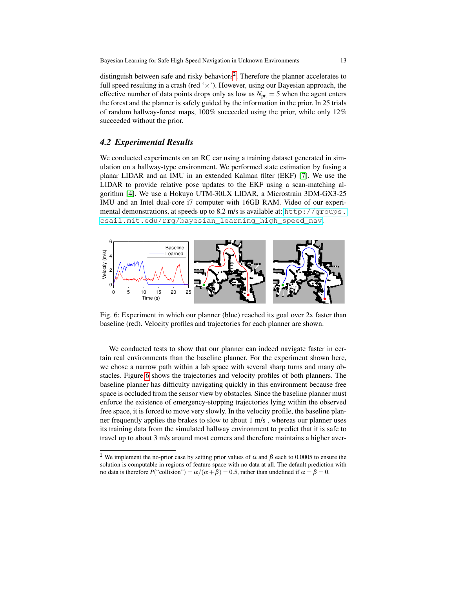distinguish between safe and risky behaviors<sup>[2](#page-12-0)</sup>. Therefore the planner accelerates to full speed resulting in a crash (red ' $\times$ '). However, using our Bayesian approach, the effective number of data points drops only as low as  $N_{\text{pr.}} = 5$  when the agent enters the forest and the planner is safely guided by the information in the prior. In 25 trials of random hallway-forest maps, 100% succeeded using the prior, while only 12% succeeded without the prior.

## *4.2 Experimental Results*

We conducted experiments on an RC car using a training dataset generated in simulation on a hallway-type environment. We performed state estimation by fusing a planar LIDAR and an IMU in an extended Kalman filter (EKF) [\[7\]](#page-15-9). We use the LIDAR to provide relative pose updates to the EKF using a scan-matching algorithm [\[4\]](#page-15-10). We use a Hokuyo UTM-30LX LIDAR, a Microstrain 3DM-GX3-25 IMU and an Intel dual-core i7 computer with 16GB RAM. Video of our experimental demonstrations, at speeds up to 8.2 m/s is available at: [http://groups.](http://groups.csail.mit.edu/rrg/bayesian_learning_high_speed_nav) [csail.mit.edu/rrg/bayesian\\_learning\\_high\\_speed\\_nav](http://groups.csail.mit.edu/rrg/bayesian_learning_high_speed_nav).

<span id="page-12-1"></span>

Fig. 6: Experiment in which our planner (blue) reached its goal over 2x faster than baseline (red). Velocity profiles and trajectories for each planner are shown.

We conducted tests to show that our planner can indeed navigate faster in certain real environments than the baseline planner. For the experiment shown here, we chose a narrow path within a lab space with several sharp turns and many obstacles. Figure [6](#page-12-1) shows the trajectories and velocity profiles of both planners. The baseline planner has difficulty navigating quickly in this environment because free space is occluded from the sensor view by obstacles. Since the baseline planner must enforce the existence of emergency-stopping trajectories lying within the observed free space, it is forced to move very slowly. In the velocity profile, the baseline planner frequently applies the brakes to slow to about 1 m/s , whereas our planner uses its training data from the simulated hallway environment to predict that it is safe to travel up to about 3 m/s around most corners and therefore maintains a higher aver-

<span id="page-12-0"></span><sup>&</sup>lt;sup>2</sup> We implement the no-prior case by setting prior values of  $\alpha$  and  $\beta$  each to 0.0005 to ensure the solution is computable in regions of feature space with no data at all. The default prediction with no data is therefore  $P("collision") = \alpha/(\alpha + \beta) = 0.5$ , rather than undefined if  $\alpha = \beta = 0$ .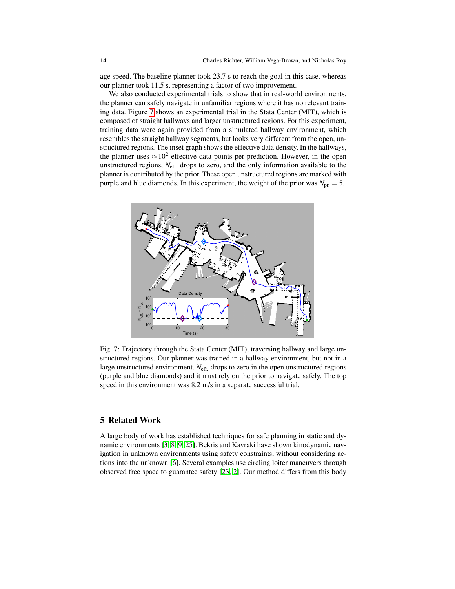age speed. The baseline planner took 23.7 s to reach the goal in this case, whereas our planner took 11.5 s, representing a factor of two improvement.

We also conducted experimental trials to show that in real-world environments, the planner can safely navigate in unfamiliar regions where it has no relevant training data. Figure [7](#page-13-0) shows an experimental trial in the Stata Center (MIT), which is composed of straight hallways and larger unstructured regions. For this experiment, training data were again provided from a simulated hallway environment, which resembles the straight hallway segments, but looks very different from the open, unstructured regions. The inset graph shows the effective data density. In the hallways, the planner uses  $\approx 10^2$  effective data points per prediction. However, in the open unstructured regions, *N*eff. drops to zero, and the only information available to the planner is contributed by the prior. These open unstructured regions are marked with purple and blue diamonds. In this experiment, the weight of the prior was  $N_{pr.} = 5$ .

<span id="page-13-0"></span>

Fig. 7: Trajectory through the Stata Center (MIT), traversing hallway and large unstructured regions. Our planner was trained in a hallway environment, but not in a large unstructured environment. *N*eff. drops to zero in the open unstructured regions (purple and blue diamonds) and it must rely on the prior to navigate safely. The top speed in this environment was 8.2 m/s in a separate successful trial.

#### 5 Related Work

A large body of work has established techniques for safe planning in static and dynamic environments [\[3,](#page-15-5) [8,](#page-15-11) [9,](#page-15-12) [25\]](#page-15-13). Bekris and Kavraki have shown kinodynamic navigation in unknown environments using safety constraints, without considering actions into the unknown [\[6\]](#page-15-14). Several examples use circling loiter maneuvers through observed free space to guarantee safety [\[23,](#page-15-2) [2\]](#page-15-1). Our method differs from this body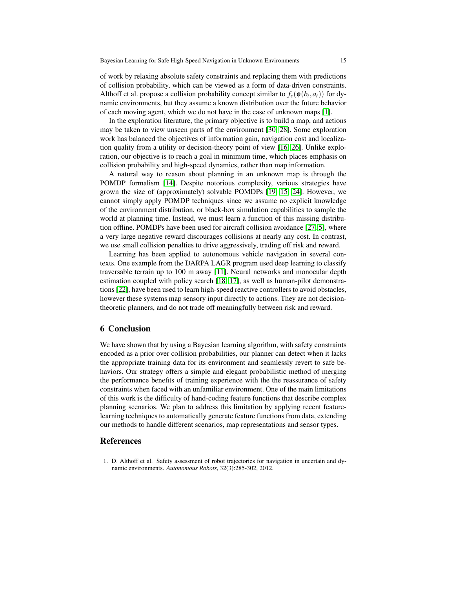of work by relaxing absolute safety constraints and replacing them with predictions of collision probability, which can be viewed as a form of data-driven constraints. Althoff et al. propose a collision probability concept similar to  $f_c(\phi(b_t, a_t))$  for dynamic environments, but they assume a known distribution over the future behavior of each moving agent, which we do not have in the case of unknown maps [\[1\]](#page-14-0).

In the exploration literature, the primary objective is to build a map, and actions may be taken to view unseen parts of the environment [\[30,](#page-15-15) [28\]](#page-15-16). Some exploration work has balanced the objectives of information gain, navigation cost and localization quality from a utility or decision-theory point of view [\[16,](#page-15-17) [26\]](#page-15-18). Unlike exploration, our objective is to reach a goal in minimum time, which places emphasis on collision probability and high-speed dynamics, rather than map information.

A natural way to reason about planning in an unknown map is through the POMDP formalism [\[14\]](#page-15-19). Despite notorious complexity, various strategies have grown the size of (approximately) solvable POMDPs [\[19,](#page-15-20) [15,](#page-15-21) [24\]](#page-15-22). However, we cannot simply apply POMDP techniques since we assume no explicit knowledge of the environment distribution, or black-box simulation capabilities to sample the world at planning time. Instead, we must learn a function of this missing distribution offline. POMDPs have been used for aircraft collision avoidance [\[27,](#page-15-23) [5\]](#page-15-24), where a very large negative reward discourages collisions at nearly any cost. In contrast, we use small collision penalties to drive aggressively, trading off risk and reward.

Learning has been applied to autonomous vehicle navigation in several contexts. One example from the DARPA LAGR program used deep learning to classify traversable terrain up to 100 m away [\[11\]](#page-15-25). Neural networks and monocular depth estimation coupled with policy search [\[18,](#page-15-26) [17\]](#page-15-27), as well as human-pilot demonstrations [\[22\]](#page-15-28), have been used to learn high-speed reactive controllers to avoid obstacles, however these systems map sensory input directly to actions. They are not decisiontheoretic planners, and do not trade off meaningfully between risk and reward.

### 6 Conclusion

We have shown that by using a Bayesian learning algorithm, with safety constraints encoded as a prior over collision probabilities, our planner can detect when it lacks the appropriate training data for its environment and seamlessly revert to safe behaviors. Our strategy offers a simple and elegant probabilistic method of merging the performance benefits of training experience with the the reassurance of safety constraints when faced with an unfamiliar environment. One of the main limitations of this work is the difficulty of hand-coding feature functions that describe complex planning scenarios. We plan to address this limitation by applying recent featurelearning techniques to automatically generate feature functions from data, extending our methods to handle different scenarios, map representations and sensor types.

### References

<span id="page-14-0"></span>1. D. Althoff et al. Safety assessment of robot trajectories for navigation in uncertain and dynamic environments. *Autonomous Robots*, 32(3):285-302, 2012.